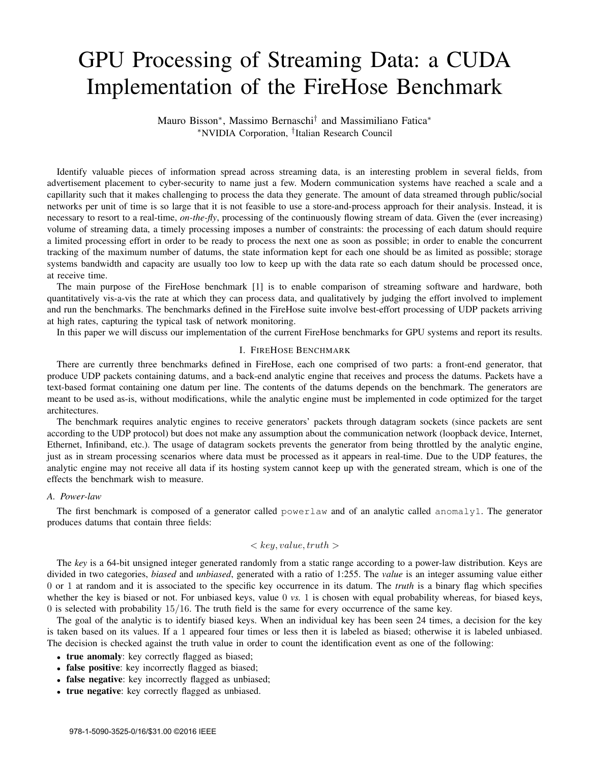# GPU Processing of Streaming Data: a CUDA Implementation of the FireHose Benchmark

Mauro Bisson<sup>∗</sup> , Massimo Bernaschi† and Massimiliano Fatica<sup>∗</sup> <sup>∗</sup>NVIDIA Corporation, † Italian Research Council

Identify valuable pieces of information spread across streaming data, is an interesting problem in several fields, from advertisement placement to cyber-security to name just a few. Modern communication systems have reached a scale and a capillarity such that it makes challenging to process the data they generate. The amount of data streamed through public/social networks per unit of time is so large that it is not feasible to use a store-and-process approach for their analysis. Instead, it is necessary to resort to a real-time, *on-the-fly*, processing of the continuously flowing stream of data. Given the (ever increasing) volume of streaming data, a timely processing imposes a number of constraints: the processing of each datum should require a limited processing effort in order to be ready to process the next one as soon as possible; in order to enable the concurrent tracking of the maximum number of datums, the state information kept for each one should be as limited as possible; storage systems bandwidth and capacity are usually too low to keep up with the data rate so each datum should be processed once, at receive time.

The main purpose of the FireHose benchmark [1] is to enable comparison of streaming software and hardware, both quantitatively vis-a-vis the rate at which they can process data, and qualitatively by judging the effort involved to implement and run the benchmarks. The benchmarks defined in the FireHose suite involve best-effort processing of UDP packets arriving at high rates, capturing the typical task of network monitoring.

In this paper we will discuss our implementation of the current FireHose benchmarks for GPU systems and report its results.

#### I. FIREHOSE BENCHMARK

There are currently three benchmarks defined in FireHose, each one comprised of two parts: a front-end generator, that produce UDP packets containing datums, and a back-end analytic engine that receives and process the datums. Packets have a text-based format containing one datum per line. The contents of the datums depends on the benchmark. The generators are meant to be used as-is, without modifications, while the analytic engine must be implemented in code optimized for the target architectures.

The benchmark requires analytic engines to receive generators' packets through datagram sockets (since packets are sent according to the UDP protocol) but does not make any assumption about the communication network (loopback device, Internet, Ethernet, Infiniband, etc.). The usage of datagram sockets prevents the generator from being throttled by the analytic engine, just as in stream processing scenarios where data must be processed as it appears in real-time. Due to the UDP features, the analytic engine may not receive all data if its hosting system cannot keep up with the generated stream, which is one of the effects the benchmark wish to measure.

# *A. Power-law*

The first benchmark is composed of a generator called powerlaw and of an analytic called anomaly1. The generator produces datums that contain three fields:

# $\langle key, value, truth \rangle$

The *key* is a 64-bit unsigned integer generated randomly from a static range according to a power-law distribution. Keys are divided in two categories, *biased* and *unbiased*, generated with a ratio of 1:255. The *value* is an integer assuming value either 0 or 1 at random and it is associated to the specific key occurrence in its datum. The *truth* is a binary flag which specifies whether the key is biased or not. For unbiased keys, value 0 *vs.* 1 is chosen with equal probability whereas, for biased keys, 0 is selected with probability 15/16. The truth field is the same for every occurrence of the same key.

The goal of the analytic is to identify biased keys. When an individual key has been seen 24 times, a decision for the key is taken based on its values. If a 1 appeared four times or less then it is labeled as biased; otherwise it is labeled unbiased. The decision is checked against the truth value in order to count the identification event as one of the following:

- true anomaly: key correctly flagged as biased;
- false positive: key incorrectly flagged as biased;
- false negative: key incorrectly flagged as unbiased;
- true negative: key correctly flagged as unbiased.